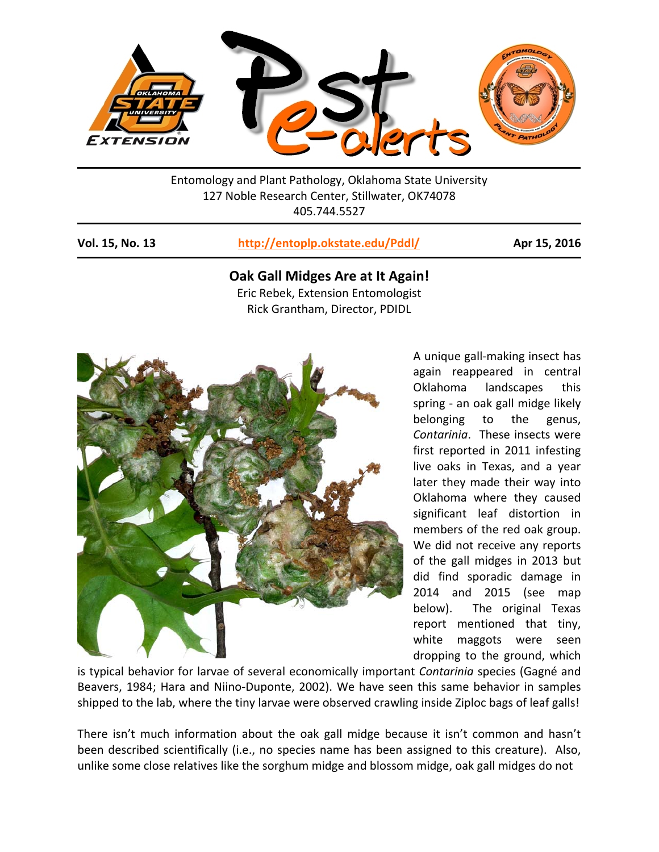

Entomology and Plant Pathology, Oklahoma State University 127 Noble Research Center, Stillwater, OK74078 405.744.5527

## **Vol. 15, No. 13 http://entoplp.okstate.edu/Pddl/ Apr 15, 2016**

# **Oak Gall Midges Are at It Again!**  Eric Rebek, Extension Entomologist Rick Grantham, Director, PDIDL



A unique gall‐making insect has again reappeared in central Oklahoma landscapes this spring ‐ an oak gall midge likely belonging to the genus, *Contarinia*. These insects were first reported in 2011 infesting live oaks in Texas, and a year later they made their way into Oklahoma where they caused significant leaf distortion in members of the red oak group. We did not receive any reports of the gall midges in 2013 but did find sporadic damage in 2014 and 2015 (see map below). The original Texas report mentioned that tiny, white maggots were seen dropping to the ground, which

is typical behavior for larvae of several economically important *Contarinia* species (Gagné and Beavers, 1984; Hara and Niino-Duponte, 2002). We have seen this same behavior in samples shipped to the lab, where the tiny larvae were observed crawling inside Ziploc bags of leaf galls!

There isn't much information about the oak gall midge because it isn't common and hasn't been described scientifically (i.e., no species name has been assigned to this creature). Also, unlike some close relatives like the sorghum midge and blossom midge, oak gall midges do not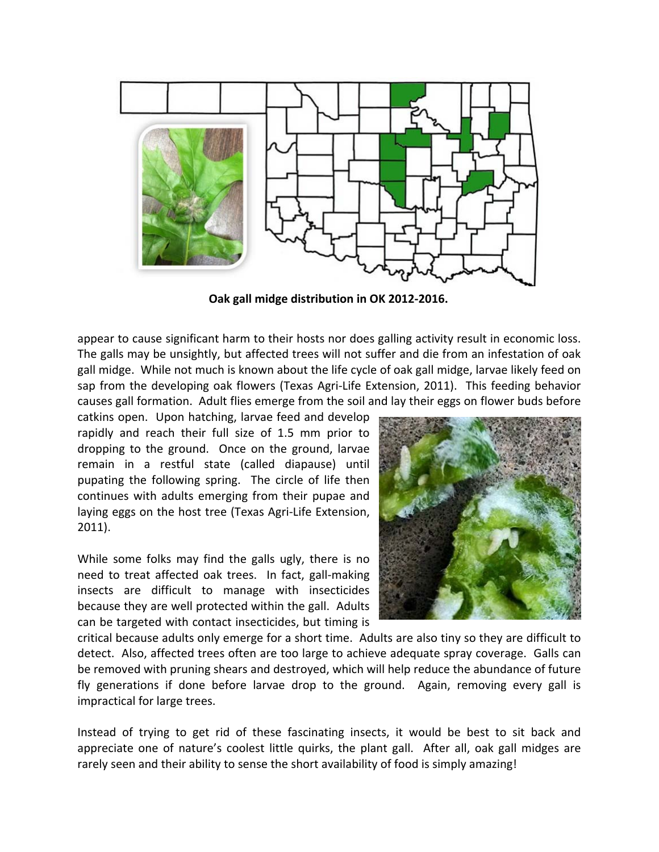

**Oak gall midge distribution in OK 2012‐2016.** 

appear to cause significant harm to their hosts nor does galling activity result in economic loss. The galls may be unsightly, but affected trees will not suffer and die from an infestation of oak gall midge. While not much is known about the life cycle of oak gall midge, larvae likely feed on sap from the developing oak flowers (Texas Agri-Life Extension, 2011). This feeding behavior causes gall formation. Adult flies emerge from the soil and lay their eggs on flower buds before

catkins open. Upon hatching, larvae feed and develop rapidly and reach their full size of 1.5 mm prior to dropping to the ground. Once on the ground, larvae remain in a restful state (called diapause) until pupating the following spring. The circle of life then continues with adults emerging from their pupae and laying eggs on the host tree (Texas Agri‐Life Extension, 2011).

While some folks may find the galls ugly, there is no need to treat affected oak trees. In fact, gall-making insects are difficult to manage with insecticides because they are well protected within the gall. Adults can be targeted with contact insecticides, but timing is



critical because adults only emerge for a short time. Adults are also tiny so they are difficult to detect. Also, affected trees often are too large to achieve adequate spray coverage. Galls can be removed with pruning shears and destroyed, which will help reduce the abundance of future fly generations if done before larvae drop to the ground. Again, removing every gall is impractical for large trees.

Instead of trying to get rid of these fascinating insects, it would be best to sit back and appreciate one of nature's coolest little quirks, the plant gall. After all, oak gall midges are rarely seen and their ability to sense the short availability of food is simply amazing!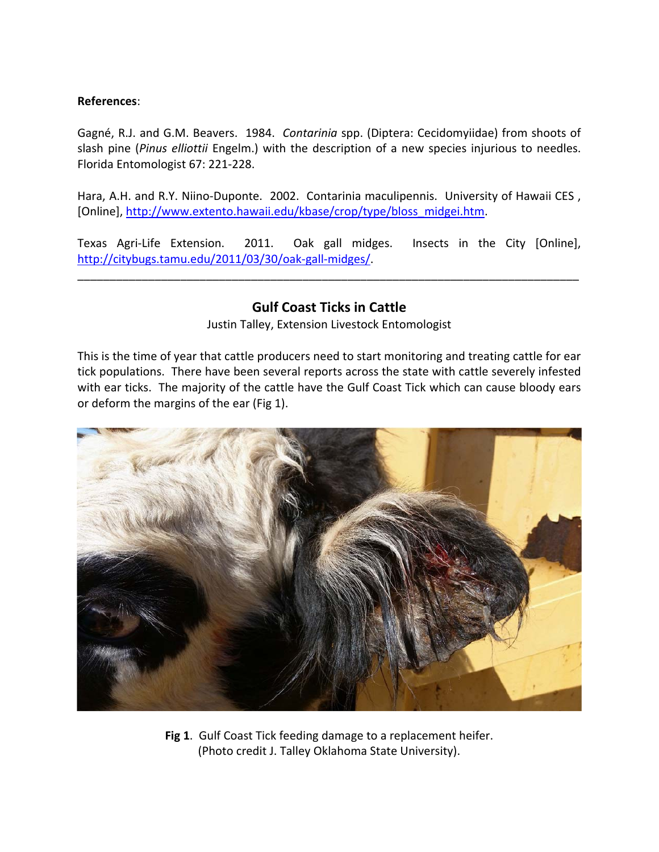## **References**:

Gagné, R.J. and G.M. Beavers. 1984. *Contarinia* spp. (Diptera: Cecidomyiidae) from shoots of slash pine (*Pinus elliottii* Engelm.) with the description of a new species injurious to needles. Florida Entomologist 67: 221‐228.

Hara, A.H. and R.Y. Niino-Duponte. 2002. Contarinia maculipennis. University of Hawaii CES, [Online], http://www.extento.hawaii.edu/kbase/crop/type/bloss\_midgei.htm.

Texas Agri-Life Extension. 2011. Oak gall midges. Insects in the City [Online], http://citybugs.tamu.edu/2011/03/30/oak‐gall‐midges/.

\_\_\_\_\_\_\_\_\_\_\_\_\_\_\_\_\_\_\_\_\_\_\_\_\_\_\_\_\_\_\_\_\_\_\_\_\_\_\_\_\_\_\_\_\_\_\_\_\_\_\_\_\_\_\_\_\_\_\_\_\_\_\_\_\_\_\_\_\_\_\_\_\_\_\_\_\_\_

# **Gulf Coast Ticks in Cattle**

Justin Talley, Extension Livestock Entomologist

This is the time of year that cattle producers need to start monitoring and treating cattle for ear tick populations. There have been several reports across the state with cattle severely infested with ear ticks. The majority of the cattle have the Gulf Coast Tick which can cause bloody ears or deform the margins of the ear (Fig 1).



**Fig 1**. Gulf Coast Tick feeding damage to a replacement heifer. (Photo credit J. Talley Oklahoma State University).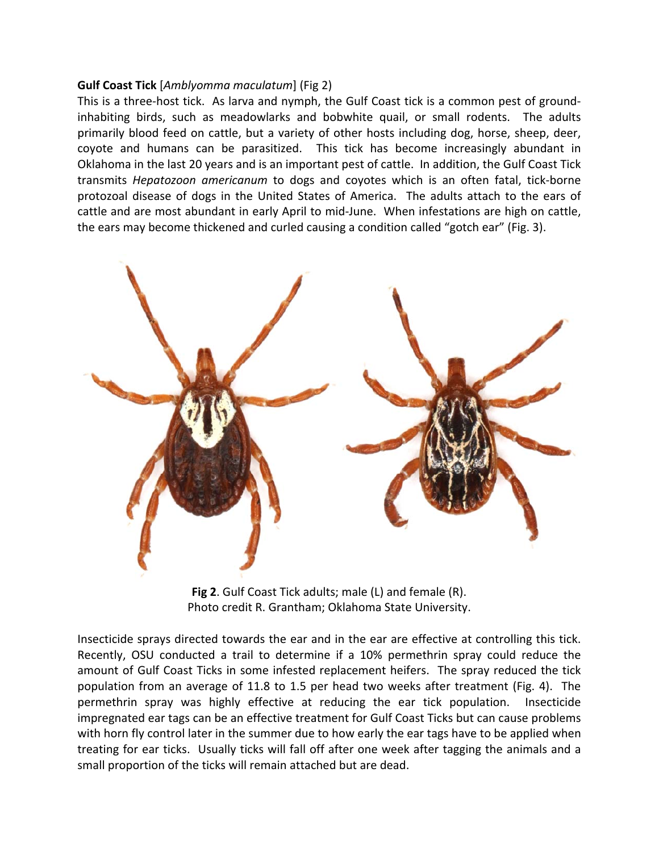### **Gulf Coast Tick** [*Amblyomma maculatum*] (Fig 2)

This is a three-host tick. As larva and nymph, the Gulf Coast tick is a common pest of groundinhabiting birds, such as meadowlarks and bobwhite quail, or small rodents. The adults primarily blood feed on cattle, but a variety of other hosts including dog, horse, sheep, deer, coyote and humans can be parasitized. This tick has become increasingly abundant in Oklahoma in the last 20 years and is an important pest of cattle. In addition, the Gulf Coast Tick transmits *Hepatozoon americanum* to dogs and coyotes which is an often fatal, tick‐borne protozoal disease of dogs in the United States of America. The adults attach to the ears of cattle and are most abundant in early April to mid‐June. When infestations are high on cattle, the ears may become thickened and curled causing a condition called "gotch ear" (Fig. 3).



**Fig 2**. Gulf Coast Tick adults; male (L) and female (R). Photo credit R. Grantham; Oklahoma State University.

Insecticide sprays directed towards the ear and in the ear are effective at controlling this tick. Recently, OSU conducted a trail to determine if a 10% permethrin spray could reduce the amount of Gulf Coast Ticks in some infested replacement heifers. The spray reduced the tick population from an average of 11.8 to 1.5 per head two weeks after treatment (Fig. 4). The permethrin spray was highly effective at reducing the ear tick population. Insecticide impregnated ear tags can be an effective treatment for Gulf Coast Ticks but can cause problems with horn fly control later in the summer due to how early the ear tags have to be applied when treating for ear ticks. Usually ticks will fall off after one week after tagging the animals and a small proportion of the ticks will remain attached but are dead.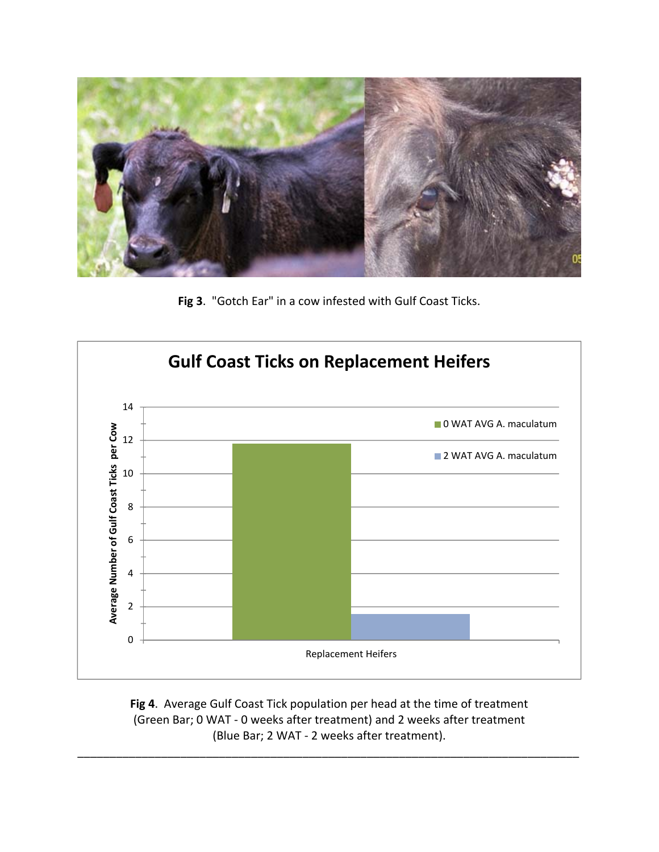

**Fig 3**. "Gotch Ear" in a cow infested with Gulf Coast Ticks.



**Fig 4**. Average Gulf Coast Tick population per head at the time of treatment (Green Bar; 0 WAT ‐ 0 weeks after treatment) and 2 weeks after treatment (Blue Bar; 2 WAT ‐ 2 weeks after treatment).

\_\_\_\_\_\_\_\_\_\_\_\_\_\_\_\_\_\_\_\_\_\_\_\_\_\_\_\_\_\_\_\_\_\_\_\_\_\_\_\_\_\_\_\_\_\_\_\_\_\_\_\_\_\_\_\_\_\_\_\_\_\_\_\_\_\_\_\_\_\_\_\_\_\_\_\_\_\_